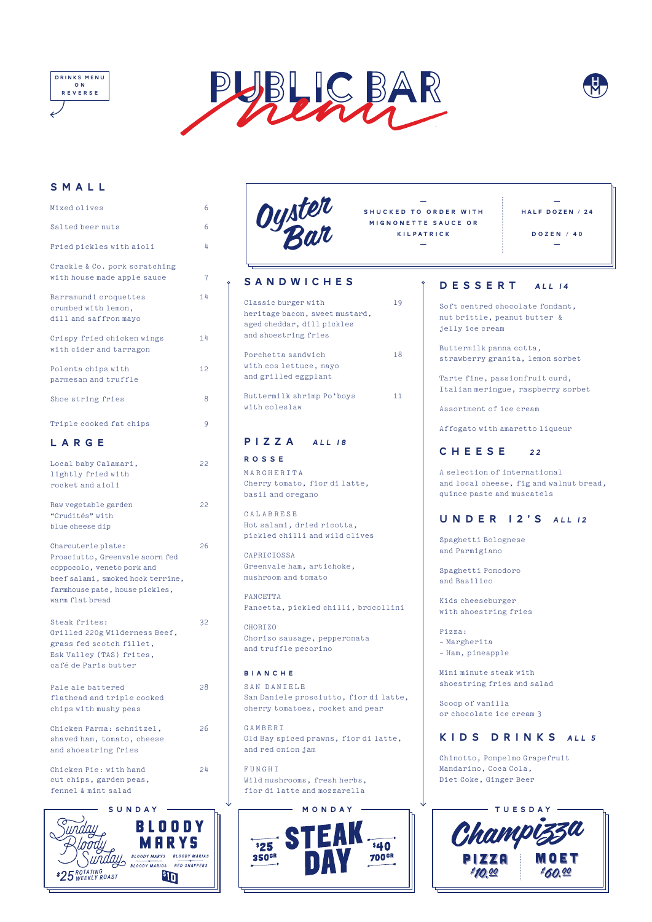# SMALL

| Mixed olives                                                                                                                                                                  | 6  |
|-------------------------------------------------------------------------------------------------------------------------------------------------------------------------------|----|
| Salted beer nuts                                                                                                                                                              | 6  |
| Fried pickles with aioli                                                                                                                                                      | 4  |
| Crackle & Co. pork scratching<br>with house made apple sauce                                                                                                                  | 7  |
| Barramundi croquettes<br>crumbed with lemon,<br>dill and saffron mayo                                                                                                         | 14 |
| Crispy fried chicken wings<br>with cider and tarragon                                                                                                                         | 14 |
| Polenta chips with<br>parmesan and truffle                                                                                                                                    | 12 |
| Shoe string fries                                                                                                                                                             | 8  |
| Triple cooked fat chips<br>LARGE                                                                                                                                              | 9  |
| Local baby Calamari,<br>lightly fried with<br>rocket and aioli                                                                                                                | 22 |
| Raw vegetable garden<br>"Crudités" with<br>blue cheese dip                                                                                                                    | 22 |
| Charcuterie plate:<br>Prosciutto, Greenvale acorn fed<br>coppocolo, veneto pork and<br>beef salami, smoked hock terrine,<br>farmhouse pate, house pickles,<br>warm flat bread | 26 |
| Steak frites:<br>Grilled 220g Wilderness Beef,<br>grass fed scotch fillet,<br>Esk Valley (TAS) frites,<br>café de Paris butter                                                | 32 |

Pale ale battered 28

Chicken Parma: schnitzel, 26 shaved ham, tomato, cheese and shoestring fries

Chicken Pie: with hand 24 cut chips, garden peas, fennel & mint salad

flathead and triple cooked chips with mushy peas

BIANCHE SAN DANIELE San Daniele prosciutto, fior di latte, cherry tomatoes, rocket and pear

#### GAMBERI

Old Bay spiced prawns, fior di latte, and red onion jam

#### FUNGHI

Wild mushrooms, fresh herbs, fior di latte and mozzarella



| 6<br>6<br>4              | Oyster                                                                                                            | SHUCKED TO ORDER WITH<br>MIGNONETTE SAUCE OR<br><b>KILPATRICK</b>                  | HALF DOZEN / 24<br>DOZEN / 40                                                                         |  |
|--------------------------|-------------------------------------------------------------------------------------------------------------------|------------------------------------------------------------------------------------|-------------------------------------------------------------------------------------------------------|--|
| hing                     |                                                                                                                   |                                                                                    |                                                                                                       |  |
| $\overline{7}$<br>ce     | SANDWICHES                                                                                                        | DESSERT                                                                            | <b>ALL 14</b>                                                                                         |  |
| 14<br>14<br>$\mathsf{S}$ | Classic burger with<br>19<br>heritage bacon, sweet mustard,<br>aged cheddar, dill pickles<br>and shoestring fries | Soft centred chocolate fondant,<br>nut brittle, peanut butter &<br>jelly ice cream |                                                                                                       |  |
| 12                       | 18<br>Porchetta sandwich<br>with cos lettuce, mayo                                                                |                                                                                    | Buttermilk panna cotta,<br>strawberry granita, lemon sorbet                                           |  |
|                          | and grilled eggplant                                                                                              |                                                                                    | Tarte fine, passion fruit curd,                                                                       |  |
| 8                        | Buttermilk shrimp Po'boys<br>11<br>with coleslaw                                                                  | Italian meringue, raspberry sorbet<br>Assortment of ice cream                      |                                                                                                       |  |
| 9                        |                                                                                                                   |                                                                                    | Affogato with amaretto liqueur                                                                        |  |
|                          | $P$   Z Z A<br><b>ALL 18</b>                                                                                      |                                                                                    |                                                                                                       |  |
| 22                       | <b>ROSSE</b>                                                                                                      | CHEESE                                                                             | 22                                                                                                    |  |
|                          | MARGHERITA<br>Cherry tomato, fior di latte,<br>basil and oregano                                                  |                                                                                    | A selection of international<br>and local cheese, fig and walnut bread,<br>quince paste and muscatels |  |
| 22                       |                                                                                                                   |                                                                                    |                                                                                                       |  |
|                          | CALABRESE<br>Hot salami, dried ricotta,<br>pickled chilli and wild olives                                         |                                                                                    | UNDER 12'S ALL 12<br>Spaghetti Bolognese                                                              |  |
| 26<br>n fed              | CAPRICIOSSA                                                                                                       | and Parmigiano                                                                     |                                                                                                       |  |
| rrine,<br>les,           | Greenvale ham, artichoke,<br>mushroom and tomato                                                                  | Spaghetti Pomodoro<br>and Basilico                                                 |                                                                                                       |  |
|                          | PANCETTA<br>Pancetta, pickled chilli, brocollini                                                                  | Kids cheeseburger<br>with shoestring fries                                         |                                                                                                       |  |
| 32<br>eef.               | CHORIZO<br>Chorizo sausage, pepperonata<br>and truffle pecorino                                                   | Pizza:<br>- Margherita                                                             |                                                                                                       |  |

- Ham, pineapple

Mini minute steak with shoestring fries and salad

Scoop of vanilla or chocolate ice cream 3

# KIDS DRINKS ALL 5

Chinotto, Pompelmo Grapefruit Mandarino, Coca Cola, Diet Coke, Ginger Beer